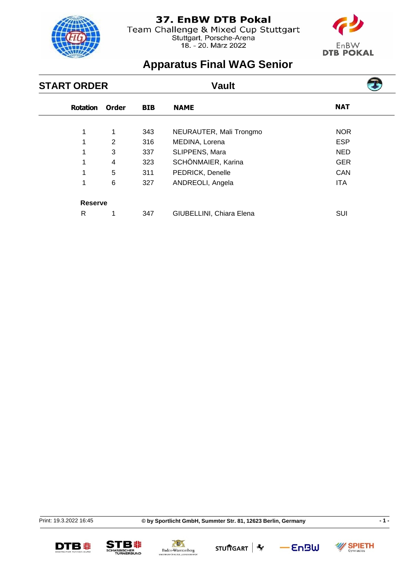

Team Challenge & Mixed Cup Stuttgart<br>Stuttgart, Porsche-Arena<br>18. - 20. März 2022



# **Apparatus Final WAG Senior**

| <b>START ORDER</b> |                |       | <b>Vault</b> |                          |            |  |
|--------------------|----------------|-------|--------------|--------------------------|------------|--|
| <b>Rotation</b>    |                | Order | <b>BIB</b>   | <b>NAME</b>              | <b>NAT</b> |  |
| 1                  |                | 1     | 343          | NEURAUTER, Mali Trongmo  | <b>NOR</b> |  |
|                    |                | 2     | 316          | MEDINA, Lorena           | <b>ESP</b> |  |
| 1                  |                | 3     | 337          | SLIPPENS, Mara           | <b>NED</b> |  |
| 1                  |                | 4     | 323          | SCHÖNMAIER, Karina       | <b>GER</b> |  |
| 1                  |                | 5     | 311          | PEDRICK, Denelle         | <b>CAN</b> |  |
| 1                  |                | 6     | 327          | ANDREOLI, Angela         | <b>ITA</b> |  |
|                    | <b>Reserve</b> |       |              |                          |            |  |
| R                  |                | 1     | 347          | GIUBELLINI, Chiara Elena | SUI        |  |

Print: 19.3.2022 16:45







STU市GART **\*** 

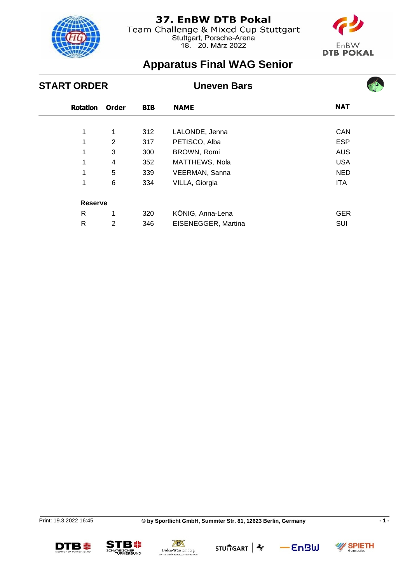

Team Challenge & Mixed Cup Stuttgart Stuttgart, Porsche-Arena<br>18. - 20. März 2022



 $\overline{\phantom{a}}$ 

# **Apparatus Final WAG Senior**

| <b>START ORDER</b> |       |            | <b>Uneven Bars</b>  |            |  |
|--------------------|-------|------------|---------------------|------------|--|
| <b>Rotation</b>    | Order | <b>BIB</b> | <b>NAME</b>         | <b>NAT</b> |  |
| 1                  | 1     | 312        | LALONDE, Jenna      | <b>CAN</b> |  |
| 1                  | 2     | 317        | PETISCO, Alba       | <b>ESP</b> |  |
| 1                  | 3     | 300        | BROWN, Romi         | <b>AUS</b> |  |
|                    | 4     | 352        | MATTHEWS, Nola      | <b>USA</b> |  |
| 1                  | 5     | 339        | VEERMAN, Sanna      | <b>NED</b> |  |
| 1                  | 6     | 334        | VILLA, Giorgia      | <b>ITA</b> |  |
| <b>Reserve</b>     |       |            |                     |            |  |
| R                  | 1     | 320        | KÖNIG, Anna-Lena    | <b>GER</b> |  |
| R                  | 2     | 346        | EISENEGGER, Martina | <b>SUI</b> |  |

Print: 19.3.2022 16:45

SPIETH









 $-$ EnBW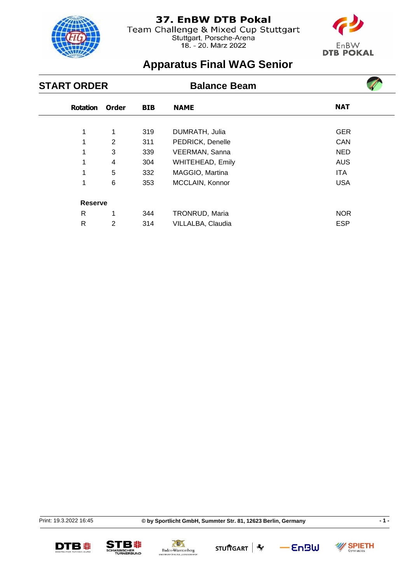

Team Challenge & Mixed Cup Stuttgart Stuttgart, Porsche-Arena<br>18. - 20. März 2022



**Contract** 

# **Apparatus Final WAG Senior**

| <b>START ORDER</b> |                 |                |            | <b>Balance Beam</b>     |            |  |
|--------------------|-----------------|----------------|------------|-------------------------|------------|--|
|                    | <b>Rotation</b> | <b>Order</b>   | <b>BIB</b> | <b>NAME</b>             | <b>NAT</b> |  |
|                    | 1               | 1              | 319        | DUMRATH, Julia          | <b>GER</b> |  |
|                    | 1               | $\overline{2}$ | 311        | PEDRICK, Denelle        | <b>CAN</b> |  |
|                    |                 | 3              | 339        | VEERMAN, Sanna          | <b>NED</b> |  |
|                    | 1               | 4              | 304        | <b>WHITEHEAD, Emily</b> | <b>AUS</b> |  |
|                    | 1               | 5              | 332        | MAGGIO, Martina         | <b>ITA</b> |  |
|                    | 1               | 6              | 353        | MCCLAIN, Konnor         | <b>USA</b> |  |
|                    | <b>Reserve</b>  |                |            |                         |            |  |
|                    | R               | 1              | 344        | TRONRUD, Maria          | <b>NOR</b> |  |
|                    | R               | 2              | 314        | VILLALBA, Claudia       | <b>ESP</b> |  |

Print: 19.3.2022 16:45

**© by Sportlicht GmbH, Summter Str. 81, 12623 Berlin, Germany - 1 -**







STU市GART **\***